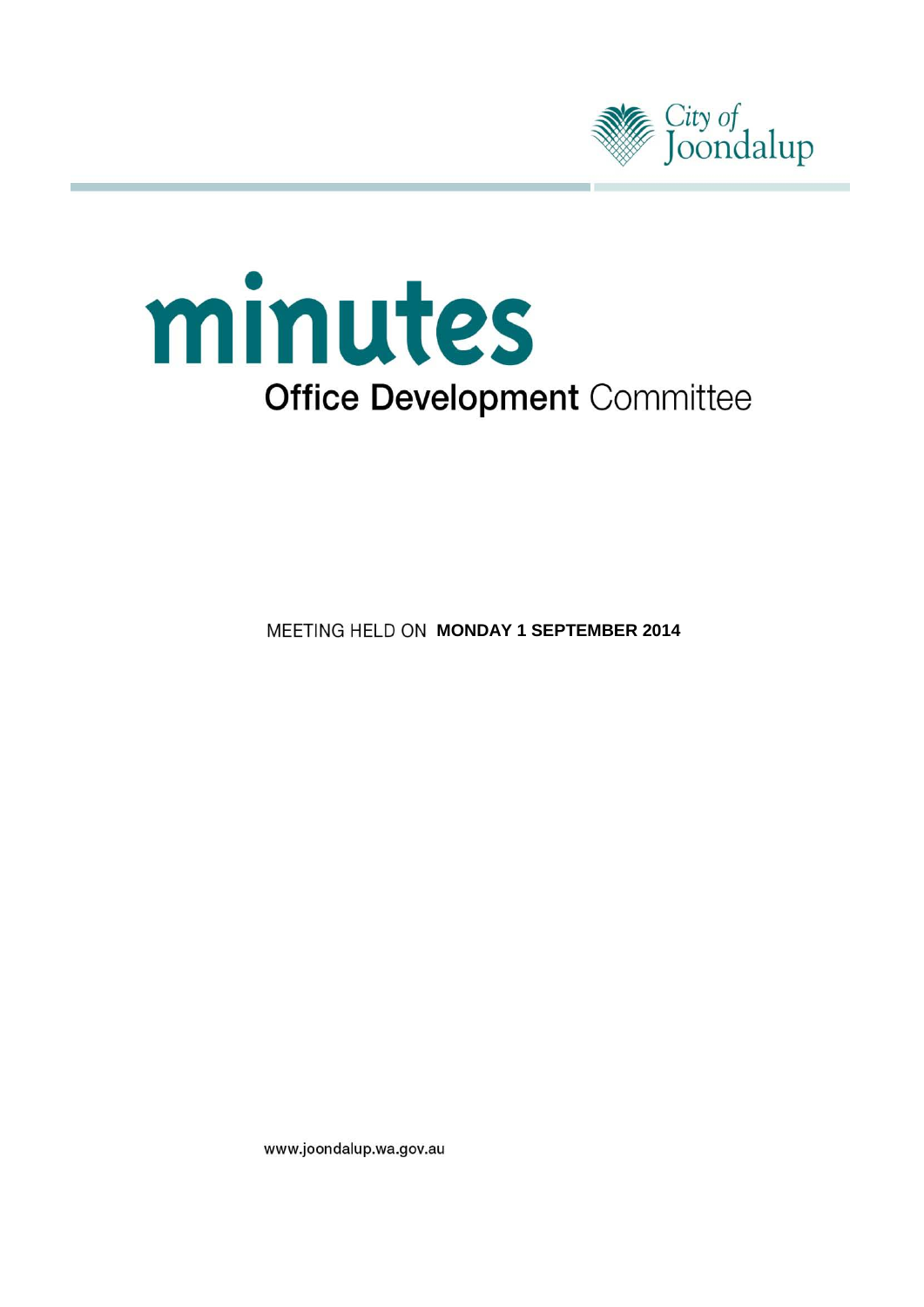



**MEETING HELD ON MONDAY 1 SEPTEMBER 2014** 

www.joondalup.wa.gov.au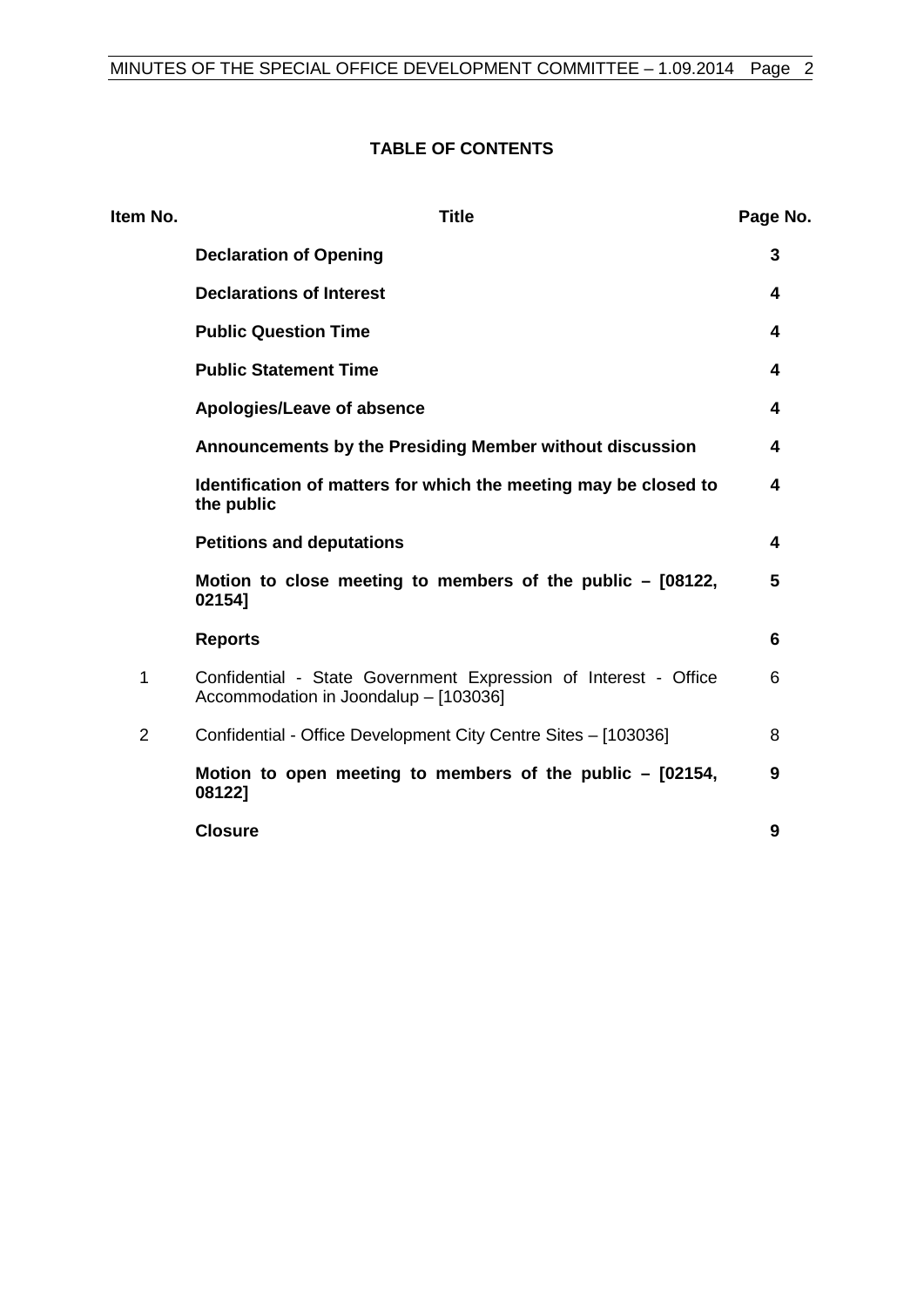# **TABLE OF CONTENTS**

| Item No.       | <b>Title</b>                                                                                             | Page No. |
|----------------|----------------------------------------------------------------------------------------------------------|----------|
|                | <b>Declaration of Opening</b>                                                                            | 3        |
|                | <b>Declarations of Interest</b>                                                                          | 4        |
|                | <b>Public Question Time</b>                                                                              | 4        |
|                | <b>Public Statement Time</b>                                                                             | 4        |
|                | Apologies/Leave of absence                                                                               | 4        |
|                | Announcements by the Presiding Member without discussion                                                 | 4        |
|                | Identification of matters for which the meeting may be closed to<br>the public                           | 4        |
|                | <b>Petitions and deputations</b>                                                                         | 4        |
|                | Motion to close meeting to members of the public - [08122,<br>02154]                                     | 5        |
|                | <b>Reports</b>                                                                                           | 6        |
| 1              | Confidential - State Government Expression of Interest - Office<br>Accommodation in Joondalup - [103036] | 6        |
| $\overline{2}$ | Confidential - Office Development City Centre Sites - [103036]                                           | 8        |
|                | Motion to open meeting to members of the public $-$ [02154,<br>08122]                                    | 9        |
|                | <b>Closure</b>                                                                                           | 9        |
|                |                                                                                                          |          |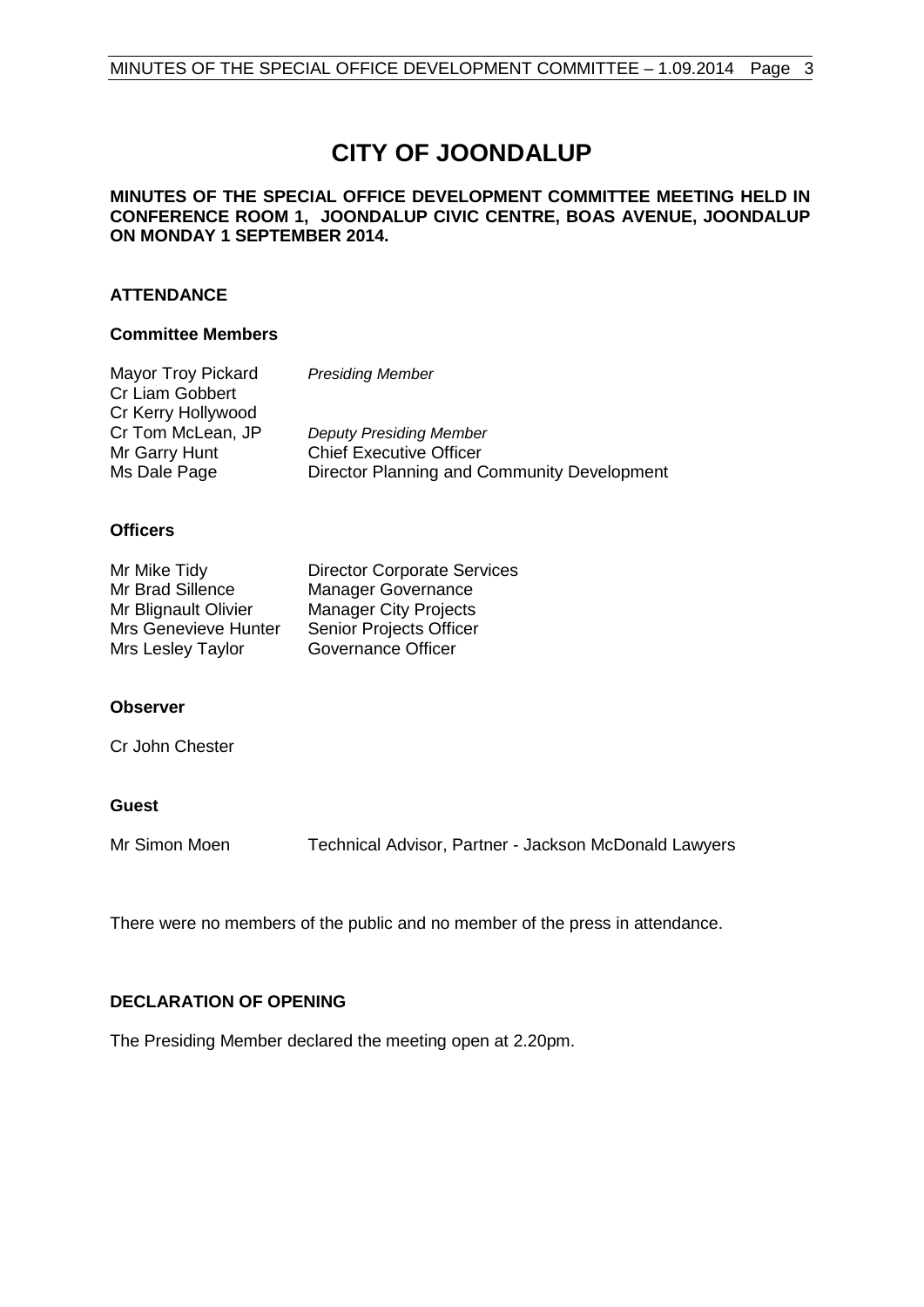# **CITY OF JOONDALUP**

#### **MINUTES OF THE SPECIAL OFFICE DEVELOPMENT COMMITTEE MEETING HELD IN CONFERENCE ROOM 1, JOONDALUP CIVIC CENTRE, BOAS AVENUE, JOONDALUP ON MONDAY 1 SEPTEMBER 2014.**

### **ATTENDANCE**

#### **Committee Members**

| Mayor Troy Pickard | <b>Presiding Member</b>                     |
|--------------------|---------------------------------------------|
| Cr Liam Gobbert    |                                             |
| Cr Kerry Hollywood |                                             |
| Cr Tom McLean, JP  | <b>Deputy Presiding Member</b>              |
| Mr Garry Hunt      | <b>Chief Executive Officer</b>              |
| Ms Dale Page       | Director Planning and Community Development |

#### **Officers**

| Mr Mike Tidy         | <b>Director Corporate Services</b> |
|----------------------|------------------------------------|
| Mr Brad Sillence     | <b>Manager Governance</b>          |
| Mr Blignault Olivier | <b>Manager City Projects</b>       |
| Mrs Genevieve Hunter | <b>Senior Projects Officer</b>     |
| Mrs Lesley Taylor    | Governance Officer                 |

#### **Observer**

Cr John Chester

### **Guest**

Mr Simon Moen Technical Advisor, Partner - Jackson McDonald Lawyers

There were no members of the public and no member of the press in attendance.

### <span id="page-2-0"></span>**DECLARATION OF OPENING**

The Presiding Member declared the meeting open at 2.20pm.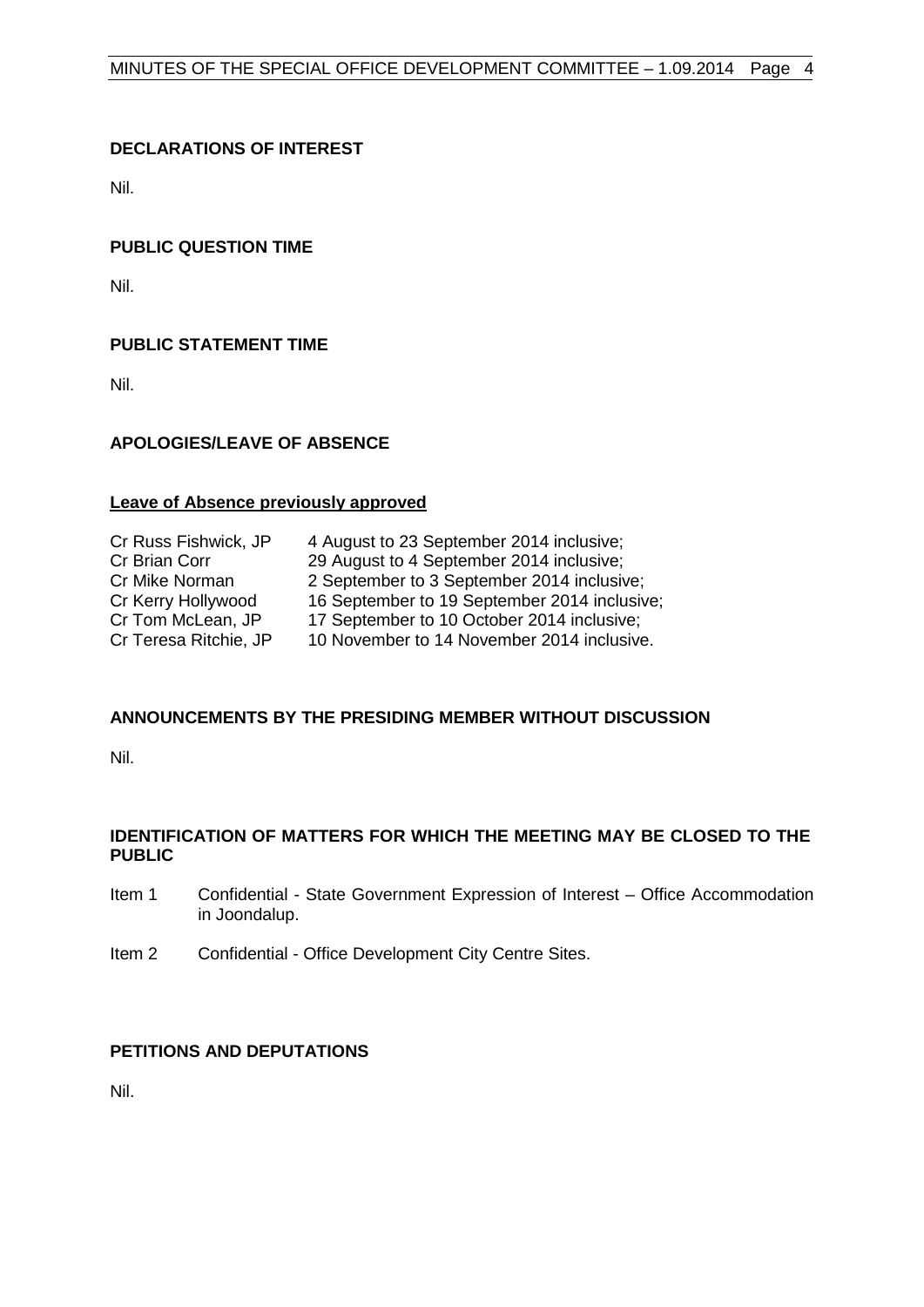# <span id="page-3-0"></span>**DECLARATIONS OF INTEREST**

Nil.

### <span id="page-3-1"></span>**PUBLIC QUESTION TIME**

Nil.

# <span id="page-3-2"></span>**PUBLIC STATEMENT TIME**

Nil.

# <span id="page-3-3"></span>**APOLOGIES/LEAVE OF ABSENCE**

#### **Leave of Absence previously approved**

| Cr Russ Fishwick, JP  | 4 August to 23 September 2014 inclusive;     |
|-----------------------|----------------------------------------------|
| Cr Brian Corr         | 29 August to 4 September 2014 inclusive;     |
| Cr Mike Norman        | 2 September to 3 September 2014 inclusive;   |
| Cr Kerry Hollywood    | 16 September to 19 September 2014 inclusive; |
| Cr Tom McLean, JP     | 17 September to 10 October 2014 inclusive;   |
| Cr Teresa Ritchie, JP | 10 November to 14 November 2014 inclusive.   |

### <span id="page-3-4"></span>**ANNOUNCEMENTS BY THE PRESIDING MEMBER WITHOUT DISCUSSION**

Nil.

# <span id="page-3-5"></span>**IDENTIFICATION OF MATTERS FOR WHICH THE MEETING MAY BE CLOSED TO THE PUBLIC**

- Item 1 Confidential State Government Expression of Interest Office Accommodation in Joondalup.
- Item 2 Confidential Office Development City Centre Sites.

### <span id="page-3-6"></span>**PETITIONS AND DEPUTATIONS**

Nil.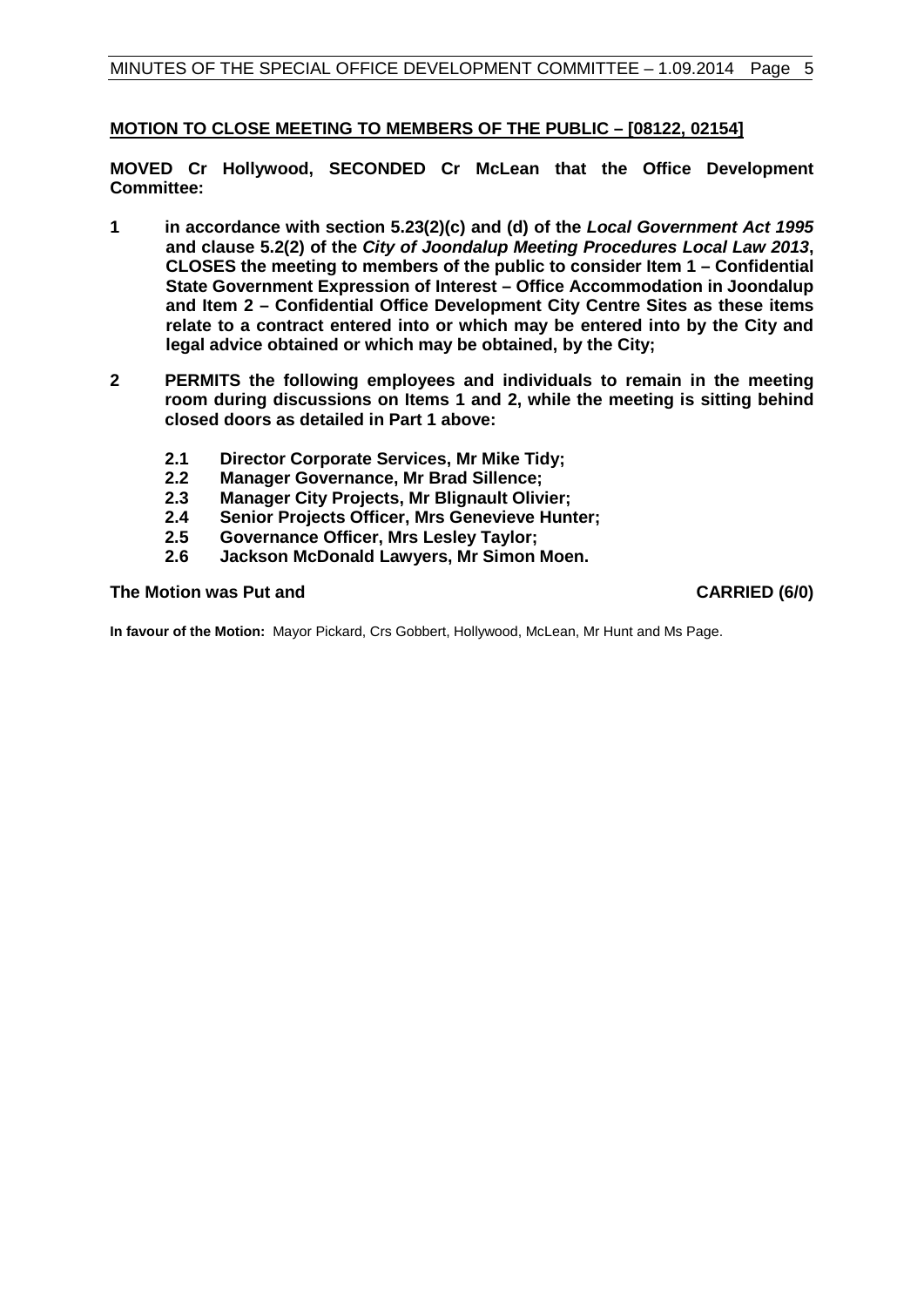# <span id="page-4-0"></span>**MOTION TO CLOSE MEETING TO MEMBERS OF THE PUBLIC – [08122, 02154]**

**MOVED Cr Hollywood, SECONDED Cr McLean that the Office Development Committee:**

- **1 in accordance with section 5.23(2)(c) and (d) of the** *Local Government Act 1995* **and clause 5.2(2) of the** *City of Joondalup Meeting Procedures Local Law 2013***, CLOSES the meeting to members of the public to consider Item 1 – Confidential State Government Expression of Interest – Office Accommodation in Joondalup and Item 2 – Confidential Office Development City Centre Sites as these items relate to a contract entered into or which may be entered into by the City and legal advice obtained or which may be obtained, by the City;**
- **2 PERMITS the following employees and individuals to remain in the meeting room during discussions on Items 1 and 2, while the meeting is sitting behind closed doors as detailed in Part 1 above:**
	- **2.1 Director Corporate Services, Mr Mike Tidy;**
	- **2.2 Manager Governance, Mr Brad Sillence;**
	-
	- **2.3 Manager City Projects, Mr Blignault Olivier; 2.4 Senior Projects Officer, Mrs Genevieve Hunter;**
	- **2.5 Governance Officer, Mrs Lesley Taylor;**
	- **2.6 Jackson McDonald Lawyers, Mr Simon Moen.**

### **The Motion was Put and CARRIED (6/0) CARRIED (6/0)**

**In favour of the Motion:** Mayor Pickard, Crs Gobbert, Hollywood, McLean, Mr Hunt and Ms Page.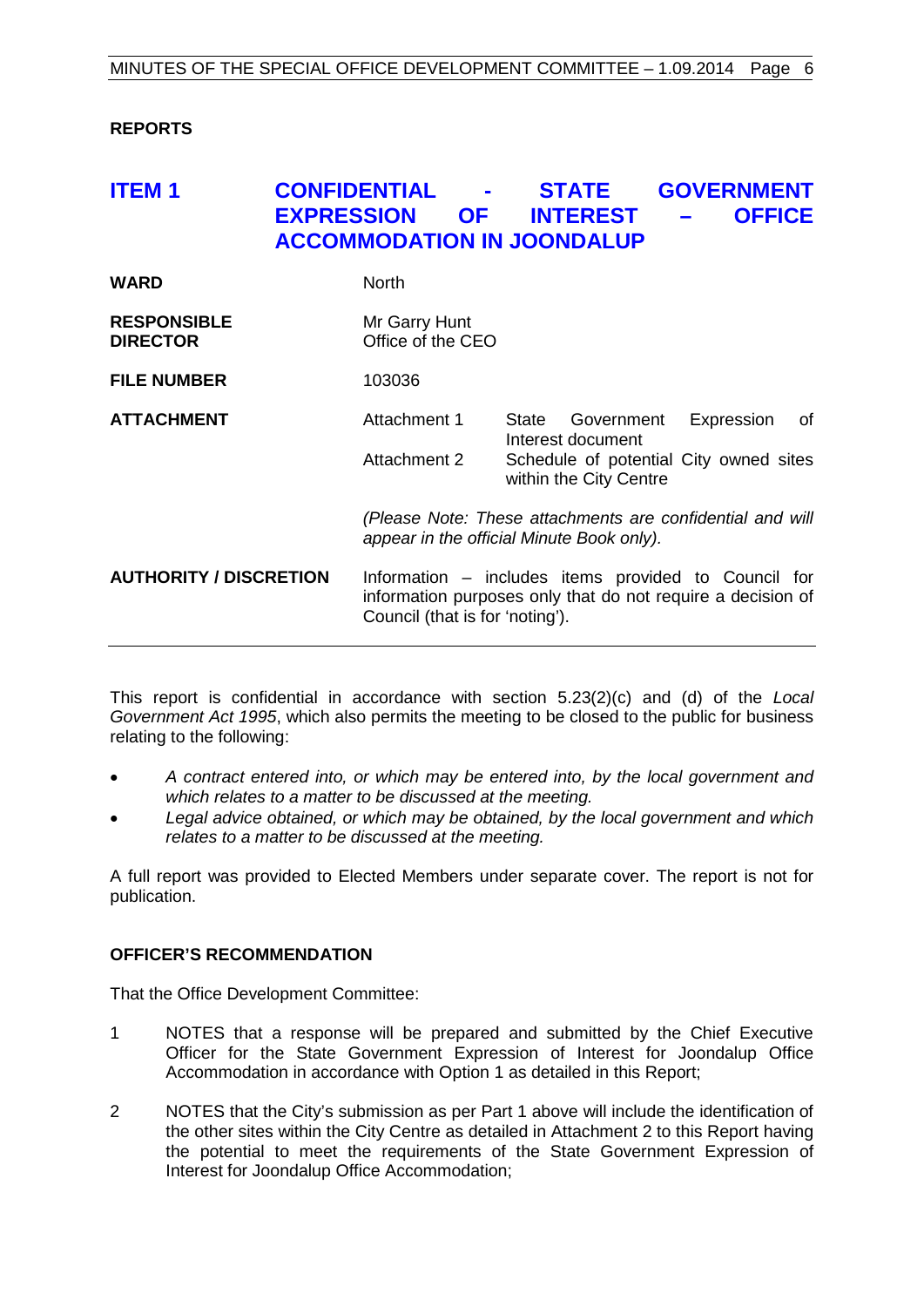### <span id="page-5-0"></span>**REPORTS**

# <span id="page-5-1"></span>**ITEM 1 CONFIDENTIAL - STATE GOVERNMENT EXPRESSION OF INTEREST – OFFICE ACCOMMODATION IN JOONDALUP**

| <b>WARD</b>                           | North                                                                                                  |                                                                                                                                  |
|---------------------------------------|--------------------------------------------------------------------------------------------------------|----------------------------------------------------------------------------------------------------------------------------------|
| <b>RESPONSIBLE</b><br><b>DIRECTOR</b> | Mr Garry Hunt<br>Office of the CEO                                                                     |                                                                                                                                  |
| <b>FILE NUMBER</b>                    | 103036                                                                                                 |                                                                                                                                  |
| <b>ATTACHMENT</b>                     | Attachment 1<br>Attachment 2                                                                           | Government<br>Expression<br>of<br>State<br>Interest document<br>Schedule of potential City owned sites<br>within the City Centre |
|                                       | (Please Note: These attachments are confidential and will<br>appear in the official Minute Book only). |                                                                                                                                  |
| <b>AUTHORITY / DISCRETION</b>         | Council (that is for 'noting').                                                                        | Information – includes items provided to Council for<br>information purposes only that do not require a decision of              |

This report is confidential in accordance with section 5.23(2)(c) and (d) of the *Local Government Act 1995*, which also permits the meeting to be closed to the public for business relating to the following:

- *A contract entered into, or which may be entered into, by the local government and which relates to a matter to be discussed at the meeting.*
- *Legal advice obtained, or which may be obtained, by the local government and which relates to a matter to be discussed at the meeting.*

A full report was provided to Elected Members under separate cover. The report is not for publication.

### **OFFICER'S RECOMMENDATION**

That the Office Development Committee:

- 1 NOTES that a response will be prepared and submitted by the Chief Executive Officer for the State Government Expression of Interest for Joondalup Office Accommodation in accordance with Option 1 as detailed in this Report;
- 2 NOTES that the City's submission as per Part 1 above will include the identification of the other sites within the City Centre as detailed in Attachment 2 to this Report having the potential to meet the requirements of the State Government Expression of Interest for Joondalup Office Accommodation;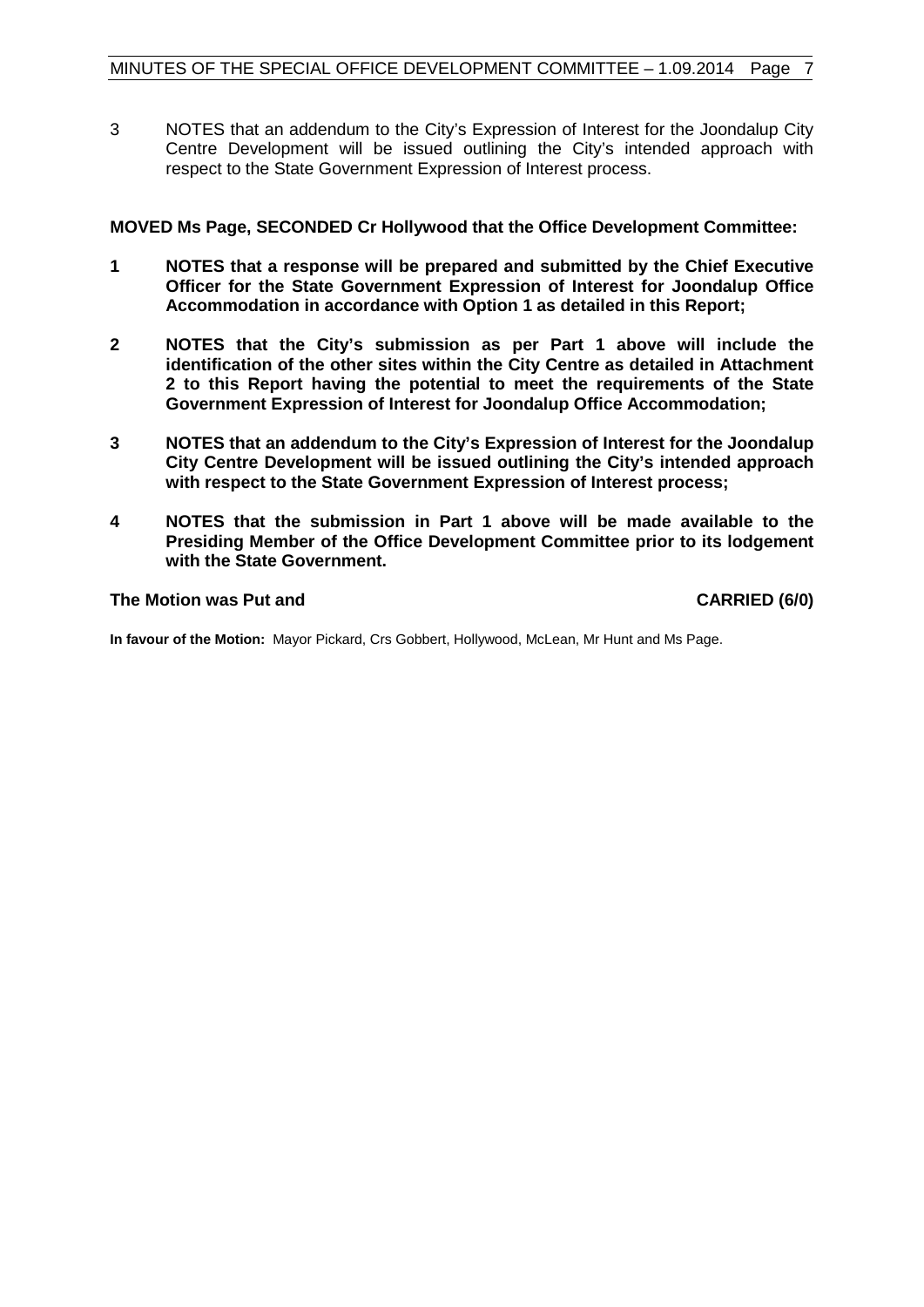3 NOTES that an addendum to the City's Expression of Interest for the Joondalup City Centre Development will be issued outlining the City's intended approach with respect to the State Government Expression of Interest process.

# **MOVED Ms Page, SECONDED Cr Hollywood that the Office Development Committee:**

- **1 NOTES that a response will be prepared and submitted by the Chief Executive Officer for the State Government Expression of Interest for Joondalup Office Accommodation in accordance with Option 1 as detailed in this Report;**
- **2 NOTES that the City's submission as per Part 1 above will include the identification of the other sites within the City Centre as detailed in Attachment 2 to this Report having the potential to meet the requirements of the State Government Expression of Interest for Joondalup Office Accommodation;**
- **3 NOTES that an addendum to the City's Expression of Interest for the Joondalup City Centre Development will be issued outlining the City's intended approach with respect to the State Government Expression of Interest process;**
- **4 NOTES that the submission in Part 1 above will be made available to the Presiding Member of the Office Development Committee prior to its lodgement with the State Government.**

#### **The Motion was Put and CARRIED (6/0) CARRIED (6/0)**

**In favour of the Motion:** Mayor Pickard, Crs Gobbert, Hollywood, McLean, Mr Hunt and Ms Page.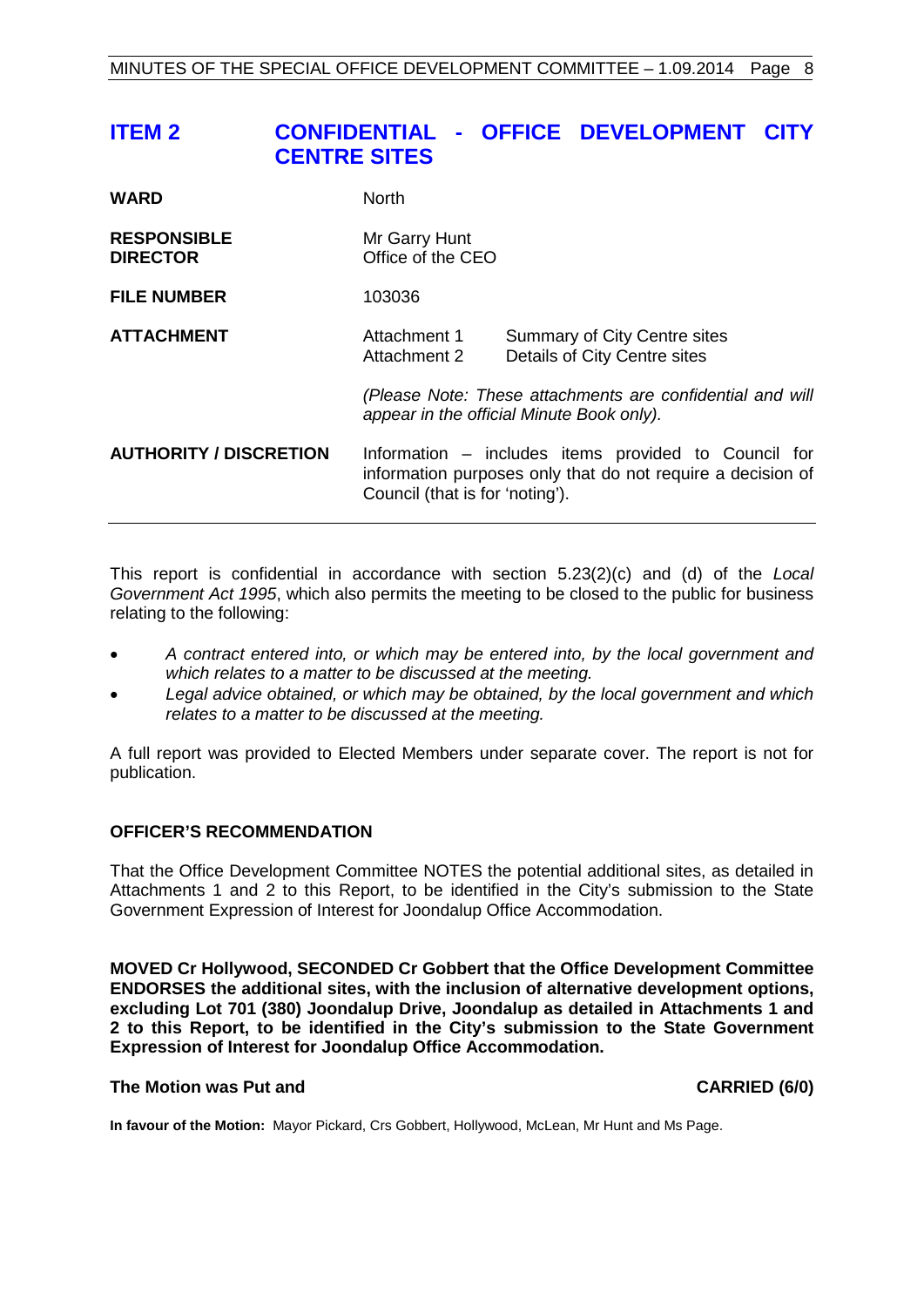# <span id="page-7-0"></span>**ITEM 2 CONFIDENTIAL - OFFICE DEVELOPMENT CITY CENTRE SITES**

| <b>WARD</b>                           | <b>North</b>                                                                                                                                           |                                                                     |
|---------------------------------------|--------------------------------------------------------------------------------------------------------------------------------------------------------|---------------------------------------------------------------------|
| <b>RESPONSIBLE</b><br><b>DIRECTOR</b> | Mr Garry Hunt<br>Office of the CEO                                                                                                                     |                                                                     |
| <b>FILE NUMBER</b>                    | 103036                                                                                                                                                 |                                                                     |
| <b>ATTACHMENT</b>                     | Attachment 1<br>Attachment 2                                                                                                                           | <b>Summary of City Centre sites</b><br>Details of City Centre sites |
|                                       | (Please Note: These attachments are confidential and will<br>appear in the official Minute Book only).                                                 |                                                                     |
| <b>AUTHORITY / DISCRETION</b>         | Information – includes items provided to Council for<br>information purposes only that do not require a decision of<br>Council (that is for 'noting'). |                                                                     |

This report is confidential in accordance with section 5.23(2)(c) and (d) of the *Local Government Act 1995*, which also permits the meeting to be closed to the public for business relating to the following:

- *A contract entered into, or which may be entered into, by the local government and which relates to a matter to be discussed at the meeting.*
- *Legal advice obtained, or which may be obtained, by the local government and which relates to a matter to be discussed at the meeting.*

A full report was provided to Elected Members under separate cover. The report is not for publication.

### **OFFICER'S RECOMMENDATION**

That the Office Development Committee NOTES the potential additional sites, as detailed in Attachments 1 and 2 to this Report, to be identified in the City's submission to the State Government Expression of Interest for Joondalup Office Accommodation.

**MOVED Cr Hollywood, SECONDED Cr Gobbert that the Office Development Committee ENDORSES the additional sites, with the inclusion of alternative development options, excluding Lot 701 (380) Joondalup Drive, Joondalup as detailed in Attachments 1 and 2 to this Report, to be identified in the City's submission to the State Government Expression of Interest for Joondalup Office Accommodation.**

#### **The Motion was Put and CARRIED (6/0)**

**In favour of the Motion:** Mayor Pickard, Crs Gobbert, Hollywood, McLean, Mr Hunt and Ms Page.